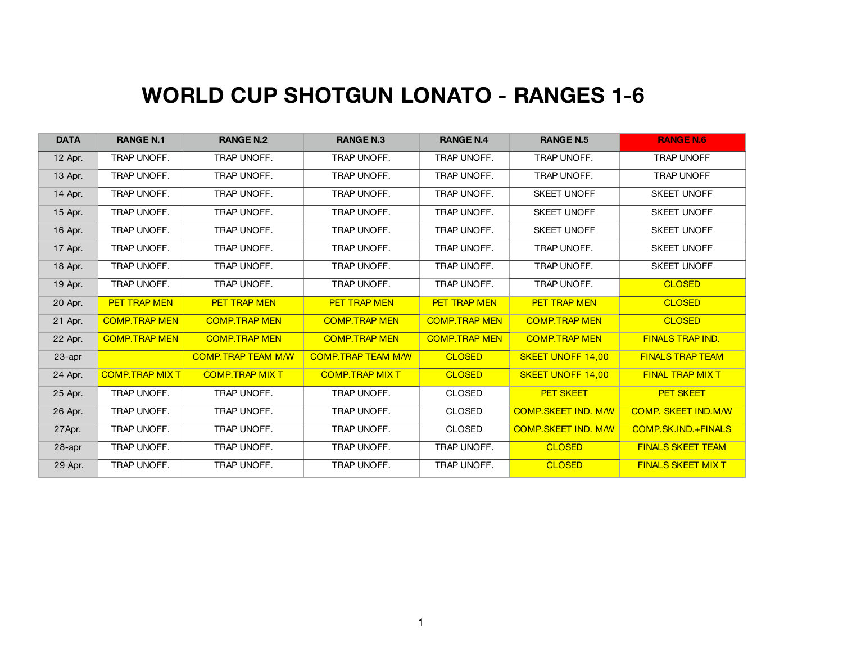## **WORLD CUP SHOTGUN LONATO - RANGES 1-6**

| <b>DATA</b> | <b>RANGE N.1</b>       | <b>RANGE N.2</b>          | <b>RANGE N.3</b>          | <b>RANGE N.4</b>     | <b>RANGE N.5</b>           | <b>RANGE N.6</b>           |
|-------------|------------------------|---------------------------|---------------------------|----------------------|----------------------------|----------------------------|
| 12 Apr.     | TRAP UNOFF.            | TRAP UNOFF.               | TRAP UNOFF.               | TRAP UNOFF.          | TRAP UNOFF.                | <b>TRAP UNOFF</b>          |
| 13 Apr.     | TRAP UNOFF.            | TRAP UNOFF.               | TRAP UNOFF.               | TRAP UNOFF.          | TRAP UNOFF.                | <b>TRAP UNOFF</b>          |
| 14 Apr.     | TRAP UNOFF.            | TRAP UNOFF.               | TRAP UNOFF.               | TRAP UNOFF.          | <b>SKEET UNOFF</b>         | <b>SKEET UNOFF</b>         |
| 15 Apr.     | TRAP UNOFF.            | TRAP UNOFF.               | TRAP UNOFF.               | TRAP UNOFF.          | <b>SKEET UNOFF</b>         | <b>SKEET UNOFF</b>         |
| 16 Apr.     | TRAP UNOFF.            | TRAP UNOFF.               | TRAP UNOFF.               | TRAP UNOFF.          | <b>SKEET UNOFF</b>         | <b>SKEET UNOFF</b>         |
| 17 Apr.     | TRAP UNOFF.            | TRAP UNOFF.               | TRAP UNOFF.               | TRAP UNOFF.          | TRAP UNOFF.                | <b>SKEET UNOFF</b>         |
| 18 Apr.     | TRAP UNOFF.            | TRAP UNOFF.               | TRAP UNOFF.               | TRAP UNOFF.          | TRAP UNOFF.                | <b>SKEET UNOFF</b>         |
| 19 Apr.     | TRAP UNOFF.            | TRAP UNOFF.               | TRAP UNOFF.               | TRAP UNOFF.          | TRAP UNOFF.                | <b>CLOSED</b>              |
| 20 Apr.     | <b>PET TRAP MEN</b>    | <b>PET TRAP MEN</b>       | <b>PET TRAP MEN</b>       | <b>PET TRAP MEN</b>  | <b>PET TRAP MEN</b>        | <b>CLOSED</b>              |
| 21 Apr.     | <b>COMP.TRAP MEN</b>   | <b>COMP.TRAP MEN</b>      | <b>COMP.TRAP MEN</b>      | <b>COMP.TRAP MEN</b> | <b>COMP.TRAP MEN</b>       | <b>CLOSED</b>              |
| 22 Apr.     | <b>COMP.TRAP MEN</b>   | <b>COMP.TRAP MEN</b>      | <b>COMP.TRAP MEN</b>      | <b>COMP.TRAP MEN</b> | <b>COMP.TRAP MEN</b>       | <b>FINALS TRAP IND.</b>    |
| 23-apr      |                        | <b>COMP.TRAP TEAM M/W</b> | <b>COMP.TRAP TEAM M/W</b> | <b>CLOSED</b>        | <b>SKEET UNOFF 14,00</b>   | <b>FINALS TRAP TEAM</b>    |
| 24 Apr.     | <b>COMP.TRAP MIX T</b> | <b>COMP.TRAP MIX T</b>    | <b>COMP.TRAP MIX T</b>    | <b>CLOSED</b>        | <b>SKEET UNOFF 14,00</b>   | <b>FINAL TRAP MIX T</b>    |
| 25 Apr.     | TRAP UNOFF.            | TRAP UNOFF.               | TRAP UNOFF.               | <b>CLOSED</b>        | <b>PET SKEET</b>           | <b>PET SKEET</b>           |
| 26 Apr.     | TRAP UNOFF.            | TRAP UNOFF.               | TRAP UNOFF.               | <b>CLOSED</b>        | <b>COMP.SKEET IND. M/W</b> | <b>COMP. SKEET IND.M/W</b> |
| 27Apr.      | TRAP UNOFF.            | TRAP UNOFF.               | TRAP UNOFF.               | <b>CLOSED</b>        | <b>COMP.SKEET IND. M/W</b> | COMP.SK.IND.+FINALS        |
| 28-apr      | TRAP UNOFF.            | TRAP UNOFF.               | TRAP UNOFF.               | TRAP UNOFF.          | <b>CLOSED</b>              | <b>FINALS SKEET TEAM</b>   |
| 29 Apr.     | TRAP UNOFF.            | TRAP UNOFF.               | TRAP UNOFF.               | TRAP UNOFF.          | <b>CLOSED</b>              | <b>FINALS SKEET MIX T</b>  |